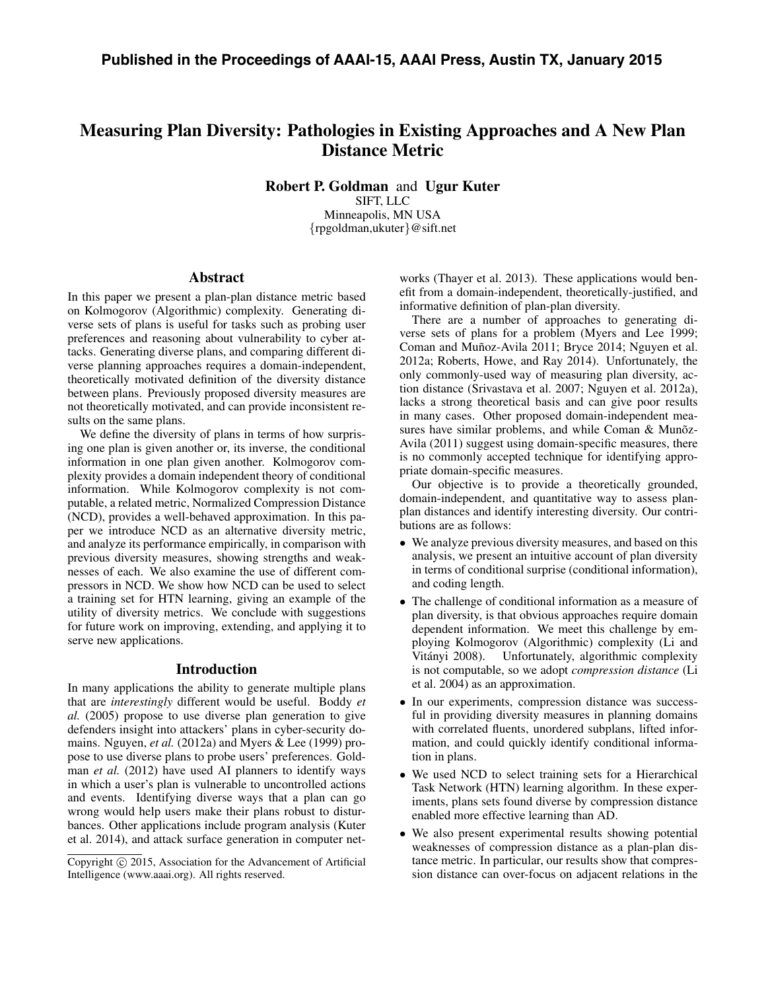# Measuring Plan Diversity: Pathologies in Existing Approaches and A New Plan Distance Metric

Robert P. Goldman and Ugur Kuter SIFT, LLC Minneapolis, MN USA *{*rpgoldman,ukuter*}*@sift.net

## Abstract

In this paper we present a plan-plan distance metric based on Kolmogorov (Algorithmic) complexity. Generating diverse sets of plans is useful for tasks such as probing user preferences and reasoning about vulnerability to cyber attacks. Generating diverse plans, and comparing different diverse planning approaches requires a domain-independent, theoretically motivated definition of the diversity distance between plans. Previously proposed diversity measures are not theoretically motivated, and can provide inconsistent results on the same plans.

We define the diversity of plans in terms of how surprising one plan is given another or, its inverse, the conditional information in one plan given another. Kolmogorov complexity provides a domain independent theory of conditional information. While Kolmogorov complexity is not computable, a related metric, Normalized Compression Distance (NCD), provides a well-behaved approximation. In this paper we introduce NCD as an alternative diversity metric, and analyze its performance empirically, in comparison with previous diversity measures, showing strengths and weaknesses of each. We also examine the use of different compressors in NCD. We show how NCD can be used to select a training set for HTN learning, giving an example of the utility of diversity metrics. We conclude with suggestions for future work on improving, extending, and applying it to serve new applications.

# Introduction

In many applications the ability to generate multiple plans that are *interestingly* different would be useful. Boddy *et al.* (2005) propose to use diverse plan generation to give defenders insight into attackers' plans in cyber-security domains. Nguyen, *et al.* (2012a) and Myers & Lee (1999) propose to use diverse plans to probe users' preferences. Goldman *et al.* (2012) have used AI planners to identify ways in which a user's plan is vulnerable to uncontrolled actions and events. Identifying diverse ways that a plan can go wrong would help users make their plans robust to disturbances. Other applications include program analysis (Kuter et al. 2014), and attack surface generation in computer net-

works (Thayer et al. 2013). These applications would benefit from a domain-independent, theoretically-justified, and informative definition of plan-plan diversity.

There are a number of approaches to generating diverse sets of plans for a problem (Myers and Lee 1999; Coman and Muñoz-Avila 2011; Bryce 2014; Nguyen et al. 2012a; Roberts, Howe, and Ray 2014). Unfortunately, the only commonly-used way of measuring plan diversity, action distance (Srivastava et al. 2007; Nguyen et al. 2012a), lacks a strong theoretical basis and can give poor results in many cases. Other proposed domain-independent measures have similar problems, and while Coman  $&$  Muno $z$ -Avila (2011) suggest using domain-specific measures, there is no commonly accepted technique for identifying appropriate domain-specific measures.

Our objective is to provide a theoretically grounded, domain-independent, and quantitative way to assess planplan distances and identify interesting diversity. Our contributions are as follows:

- We analyze previous diversity measures, and based on this analysis, we present an intuitive account of plan diversity in terms of conditional surprise (conditional information), and coding length.
- The challenge of conditional information as a measure of plan diversity, is that obvious approaches require domain dependent information. We meet this challenge by employing Kolmogorov (Algorithmic) complexity (Li and Vitányi 2008). Unfortunately, algorithmic complexity is not computable, so we adopt *compression distance* (Li et al. 2004) as an approximation.
- *•* In our experiments, compression distance was successful in providing diversity measures in planning domains with correlated fluents, unordered subplans, lifted information, and could quickly identify conditional information in plans.
- *•* We used NCD to select training sets for a Hierarchical Task Network (HTN) learning algorithm. In these experiments, plans sets found diverse by compression distance enabled more effective learning than AD.
- *•* We also present experimental results showing potential weaknesses of compression distance as a plan-plan distance metric. In particular, our results show that compression distance can over-focus on adjacent relations in the

Copyright (c) 2015, Association for the Advancement of Artificial Intelligence (www.aaai.org). All rights reserved.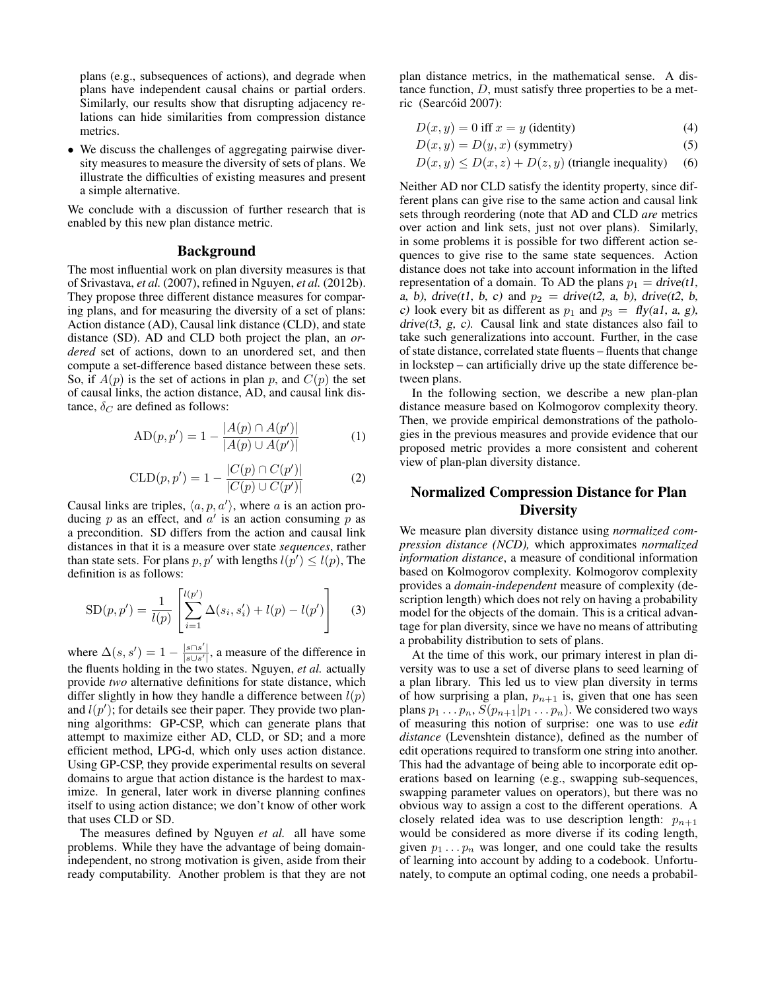plans (e.g., subsequences of actions), and degrade when plans have independent causal chains or partial orders. Similarly, our results show that disrupting adjacency relations can hide similarities from compression distance metrics.

*•* We discuss the challenges of aggregating pairwise diversity measures to measure the diversity of sets of plans. We illustrate the difficulties of existing measures and present a simple alternative.

We conclude with a discussion of further research that is enabled by this new plan distance metric.

## Background

The most influential work on plan diversity measures is that of Srivastava, *et al.* (2007), refined in Nguyen, *et al.* (2012b). They propose three different distance measures for comparing plans, and for measuring the diversity of a set of plans: Action distance (AD), Causal link distance (CLD), and state distance (SD). AD and CLD both project the plan, an *ordered* set of actions, down to an unordered set, and then compute a set-difference based distance between these sets. So, if  $A(p)$  is the set of actions in plan p, and  $C(p)$  the set of causal links, the action distance, AD, and causal link distance,  $\delta_C$  are defined as follows:

$$
AD(p, p') = 1 - \frac{|A(p) \cap A(p')|}{|A(p) \cup A(p')|}
$$
 (1)

$$
CLD(p, p') = 1 - \frac{|C(p) \cap C(p')|}{|C(p) \cup C(p')|}
$$
 (2)

Causal links are triples,  $\langle a, p, a' \rangle$ , where *a* is an action producing  $p$  as an effect, and  $a'$  is an action consuming  $p$  as a precondition. SD differs from the action and causal link distances in that it is a measure over state *sequences*, rather than state sets. For plans  $p, p'$  with lengths  $l(p') \leq l(p)$ , The definition is as follows:

SD(p, p') = 
$$
\frac{1}{l(p)} \left[ \sum_{i=1}^{l(p')} \Delta(s_i, s'_i) + l(p) - l(p') \right]
$$
(3)

where  $\Delta(s, s') = 1 - \frac{|s \cap s'|}{|s \cup s'|}$ , a measure of the difference in the fluents holding in the two states. Nguyen, *et al.* actually provide *two* alternative definitions for state distance, which differ slightly in how they handle a difference between *l*(*p*) and  $l(p')$ ; for details see their paper. They provide two planning algorithms: GP-CSP, which can generate plans that attempt to maximize either AD, CLD, or SD; and a more efficient method, LPG-d, which only uses action distance. Using GP-CSP, they provide experimental results on several domains to argue that action distance is the hardest to maximize. In general, later work in diverse planning confines itself to using action distance; we don't know of other work that uses CLD or SD.

The measures defined by Nguyen *et al.* all have some problems. While they have the advantage of being domainindependent, no strong motivation is given, aside from their ready computability. Another problem is that they are not

plan distance metrics, in the mathematical sense. A distance function, *D*, must satisfy three properties to be a metric (Searcóid 2007):

$$
D(x, y) = 0 \text{ iff } x = y \text{ (identity)}
$$
\n<sup>(4)</sup>

$$
D(x, y) = D(y, x) \text{ (symmetry)}
$$
 (5)

$$
D(x, y) \le D(x, z) + D(z, y)
$$
 (triangle inequality) (6)

Neither AD nor CLD satisfy the identity property, since different plans can give rise to the same action and causal link sets through reordering (note that AD and CLD *are* metrics over action and link sets, just not over plans). Similarly, in some problems it is possible for two different action sequences to give rise to the same state sequences. Action distance does not take into account information in the lifted representation of a domain. To AD the plans  $p_1 = \text{drive}(t)$ , *a, b), drive(t1, b, c)* and  $p_2 =$  *drive(t2, a, b), drive(t2, b, c*) look every bit as different as  $p_1$  and  $p_3 = fly(a1, a, g)$ , *drive(t3, g, c)*. Causal link and state distances also fail to take such generalizations into account. Further, in the case of state distance, correlated state fluents – fluents that change in lockstep – can artificially drive up the state difference between plans.

In the following section, we describe a new plan-plan distance measure based on Kolmogorov complexity theory. Then, we provide empirical demonstrations of the pathologies in the previous measures and provide evidence that our proposed metric provides a more consistent and coherent view of plan-plan diversity distance.

# Normalized Compression Distance for Plan **Diversity**

We measure plan diversity distance using *normalized compression distance (NCD),* which approximates *normalized information distance*, a measure of conditional information based on Kolmogorov complexity. Kolmogorov complexity provides a *domain-independent* measure of complexity (description length) which does not rely on having a probability model for the objects of the domain. This is a critical advantage for plan diversity, since we have no means of attributing a probability distribution to sets of plans.

At the time of this work, our primary interest in plan diversity was to use a set of diverse plans to seed learning of a plan library. This led us to view plan diversity in terms of how surprising a plan,  $p_{n+1}$  is, given that one has seen plans  $p_1 \ldots p_n$ ,  $S(p_{n+1}|p_1 \ldots p_n)$ . We considered two ways of measuring this notion of surprise: one was to use *edit distance* (Levenshtein distance), defined as the number of edit operations required to transform one string into another. This had the advantage of being able to incorporate edit operations based on learning (e.g., swapping sub-sequences, swapping parameter values on operators), but there was no obvious way to assign a cost to the different operations. A closely related idea was to use description length:  $p_{n+1}$ would be considered as more diverse if its coding length, given  $p_1 \nldots p_n$  was longer, and one could take the results of learning into account by adding to a codebook. Unfortunately, to compute an optimal coding, one needs a probabil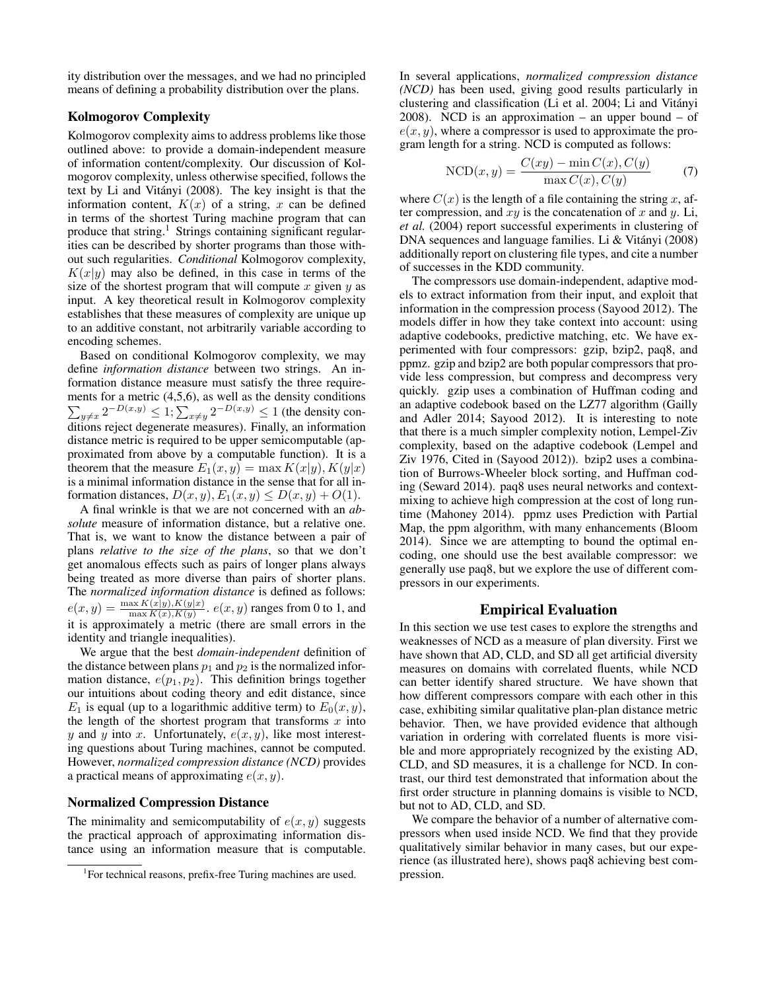ity distribution over the messages, and we had no principled means of defining a probability distribution over the plans.

# Kolmogorov Complexity

Kolmogorov complexity aims to address problems like those outlined above: to provide a domain-independent measure of information content/complexity. Our discussion of Kolmogorov complexity, unless otherwise specified, follows the text by Li and Vitányi (2008). The key insight is that the information content,  $K(x)$  of a string, x can be defined in terms of the shortest Turing machine program that can produce that string.<sup>1</sup> Strings containing significant regularities can be described by shorter programs than those without such regularities. *Conditional* Kolmogorov complexity,  $K(x|y)$  may also be defined, in this case in terms of the size of the shortest program that will compute *x* given *y* as input. A key theoretical result in Kolmogorov complexity establishes that these measures of complexity are unique up to an additive constant, not arbitrarily variable according to encoding schemes.

Based on conditional Kolmogorov complexity, we may define *information distance* between two strings. An information distance measure must satisfy the three requirements for a metric (4,5,6), as well as the density conditions  $\sum_{y \neq x} 2^{-D(x,y)} \leq 1; \sum_{x \neq y} 2^{-D(x,y)} \leq 1$  (the density conditions reject degenerate measures). Finally, an information distance metric is required to be upper semicomputable (approximated from above by a computable function). It is a theorem that the measure  $E_1(x, y) = \max K(x|y), K(y|x)$ is a minimal information distance in the sense that for all information distances,  $D(x, y), E_1(x, y) \leq D(x, y) + O(1)$ .

A final wrinkle is that we are not concerned with an *absolute* measure of information distance, but a relative one. That is, we want to know the distance between a pair of plans *relative to the size of the plans*, so that we don't get anomalous effects such as pairs of longer plans always being treated as more diverse than pairs of shorter plans. The *normalized information distance* is defined as follows:  $e(x, y) = \frac{\max K(x|y), K(y|x)}{\max K(x), K(y)}$ .  $e(x, y)$  ranges from 0 to 1, and it is approximately a metric (there are small errors in the identity and triangle inequalities).

We argue that the best *domain-independent* definition of the distance between plans  $p_1$  and  $p_2$  is the normalized information distance, *e*(*p*1*, p*2). This definition brings together our intuitions about coding theory and edit distance, since  $E_1$  is equal (up to a logarithmic additive term) to  $E_0(x, y)$ , the length of the shortest program that transforms *x* into *y* and *y* into *x*. Unfortunately,  $e(x, y)$ , like most interesting questions about Turing machines, cannot be computed. However, *normalized compression distance (NCD)* provides a practical means of approximating *e*(*x, y*).

#### Normalized Compression Distance

The minimality and semicomputability of  $e(x, y)$  suggests the practical approach of approximating information distance using an information measure that is computable. In several applications, *normalized compression distance (NCD)* has been used, giving good results particularly in clustering and classification (Li et al. 2004; Li and Vitanyi ´ 2008). NCD is an approximation – an upper bound – of  $e(x, y)$ , where a compressor is used to approximate the program length for a string. NCD is computed as follows:

$$
NCD(x, y) = \frac{C(xy) - \min C(x), C(y)}{\max C(x), C(y)} \tag{7}
$$

where  $C(x)$  is the length of a file containing the string x, after compression, and *xy* is the concatenation of *x* and *y*. Li, *et al.* (2004) report successful experiments in clustering of DNA sequences and language families. Li & Vitányi (2008) additionally report on clustering file types, and cite a number of successes in the KDD community.

The compressors use domain-independent, adaptive models to extract information from their input, and exploit that information in the compression process (Sayood 2012). The models differ in how they take context into account: using adaptive codebooks, predictive matching, etc. We have experimented with four compressors: gzip, bzip2, paq8, and ppmz. gzip and bzip2 are both popular compressors that provide less compression, but compress and decompress very quickly. gzip uses a combination of Huffman coding and an adaptive codebook based on the LZ77 algorithm (Gailly and Adler 2014; Sayood 2012). It is interesting to note that there is a much simpler complexity notion, Lempel-Ziv complexity, based on the adaptive codebook (Lempel and Ziv 1976, Cited in (Sayood 2012)). bzip2 uses a combination of Burrows-Wheeler block sorting, and Huffman coding (Seward 2014). paq8 uses neural networks and contextmixing to achieve high compression at the cost of long runtime (Mahoney 2014). ppmz uses Prediction with Partial Map, the ppm algorithm, with many enhancements (Bloom 2014). Since we are attempting to bound the optimal encoding, one should use the best available compressor: we generally use paq8, but we explore the use of different compressors in our experiments.

#### Empirical Evaluation

In this section we use test cases to explore the strengths and weaknesses of NCD as a measure of plan diversity. First we have shown that AD, CLD, and SD all get artificial diversity measures on domains with correlated fluents, while NCD can better identify shared structure. We have shown that how different compressors compare with each other in this case, exhibiting similar qualitative plan-plan distance metric behavior. Then, we have provided evidence that although variation in ordering with correlated fluents is more visible and more appropriately recognized by the existing AD, CLD, and SD measures, it is a challenge for NCD. In contrast, our third test demonstrated that information about the first order structure in planning domains is visible to NCD, but not to AD, CLD, and SD.

We compare the behavior of a number of alternative compressors when used inside NCD. We find that they provide qualitatively similar behavior in many cases, but our experience (as illustrated here), shows paq8 achieving best compression.

<sup>&</sup>lt;sup>1</sup>For technical reasons, prefix-free Turing machines are used.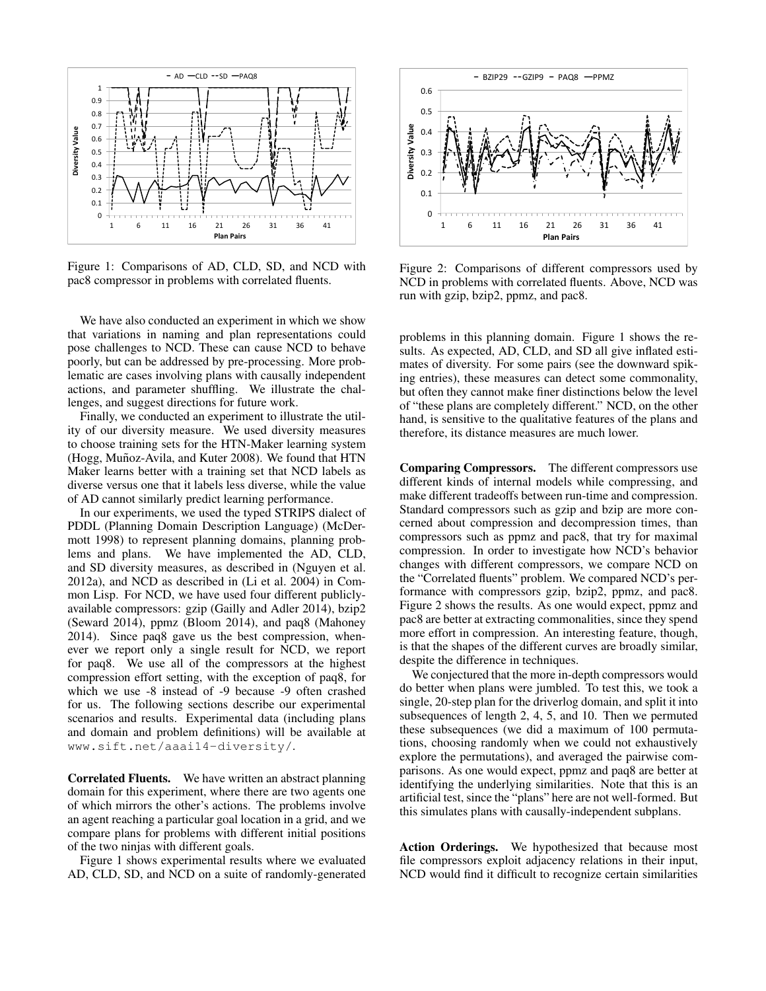

Figure 1: Comparisons of AD, CLD, SD, and NCD with pac8 compressor in problems with correlated fluents.

We have also conducted an experiment in which we show that variations in naming and plan representations could pose challenges to NCD. These can cause NCD to behave poorly, but can be addressed by pre-processing. More problematic are cases involving plans with causally independent actions, and parameter shuffling. We illustrate the challenges, and suggest directions for future work.

Finally, we conducted an experiment to illustrate the utility of our diversity measure. We used diversity measures to choose training sets for the HTN-Maker learning system (Hogg, Muñoz-Avila, and Kuter 2008). We found that HTN Maker learns better with a training set that NCD labels as diverse versus one that it labels less diverse, while the value of AD cannot similarly predict learning performance.

In our experiments, we used the typed STRIPS dialect of PDDL (Planning Domain Description Language) (McDermott 1998) to represent planning domains, planning problems and plans. We have implemented the AD, CLD, and SD diversity measures, as described in (Nguyen et al. 2012a), and NCD as described in (Li et al. 2004) in Common Lisp. For NCD, we have used four different publiclyavailable compressors: gzip (Gailly and Adler 2014), bzip2 (Seward 2014), ppmz (Bloom 2014), and paq8 (Mahoney 2014). Since paq8 gave us the best compression, whenever we report only a single result for NCD, we report for paq8. We use all of the compressors at the highest compression effort setting, with the exception of paq8, for which we use -8 instead of -9 because -9 often crashed for us. The following sections describe our experimental scenarios and results. Experimental data (including plans and domain and problem definitions) will be available at www.sift.net/aaai14-diversity/.

Correlated Fluents. We have written an abstract planning domain for this experiment, where there are two agents one of which mirrors the other's actions. The problems involve an agent reaching a particular goal location in a grid, and we compare plans for problems with different initial positions of the two ninjas with different goals.

Figure 1 shows experimental results where we evaluated AD, CLD, SD, and NCD on a suite of randomly-generated



Figure 2: Comparisons of different compressors used by NCD in problems with correlated fluents. Above, NCD was run with gzip, bzip2, ppmz, and pac8.

problems in this planning domain. Figure 1 shows the results. As expected, AD, CLD, and SD all give inflated estimates of diversity. For some pairs (see the downward spiking entries), these measures can detect some commonality, but often they cannot make finer distinctions below the level of "these plans are completely different." NCD, on the other hand, is sensitive to the qualitative features of the plans and therefore, its distance measures are much lower.

Comparing Compressors. The different compressors use different kinds of internal models while compressing, and make different tradeoffs between run-time and compression. Standard compressors such as gzip and bzip are more concerned about compression and decompression times, than compressors such as ppmz and pac8, that try for maximal compression. In order to investigate how NCD's behavior changes with different compressors, we compare NCD on the "Correlated fluents" problem. We compared NCD's performance with compressors gzip, bzip2, ppmz, and pac8. Figure 2 shows the results. As one would expect, ppmz and pac8 are better at extracting commonalities, since they spend more effort in compression. An interesting feature, though, is that the shapes of the different curves are broadly similar, despite the difference in techniques.

We conjectured that the more in-depth compressors would do better when plans were jumbled. To test this, we took a single, 20-step plan for the driverlog domain, and split it into subsequences of length 2, 4, 5, and 10. Then we permuted these subsequences (we did a maximum of 100 permutations, choosing randomly when we could not exhaustively explore the permutations), and averaged the pairwise comparisons. As one would expect, ppmz and paq8 are better at identifying the underlying similarities. Note that this is an artificial test, since the "plans" here are not well-formed. But this simulates plans with causally-independent subplans.

Action Orderings. We hypothesized that because most file compressors exploit adjacency relations in their input, NCD would find it difficult to recognize certain similarities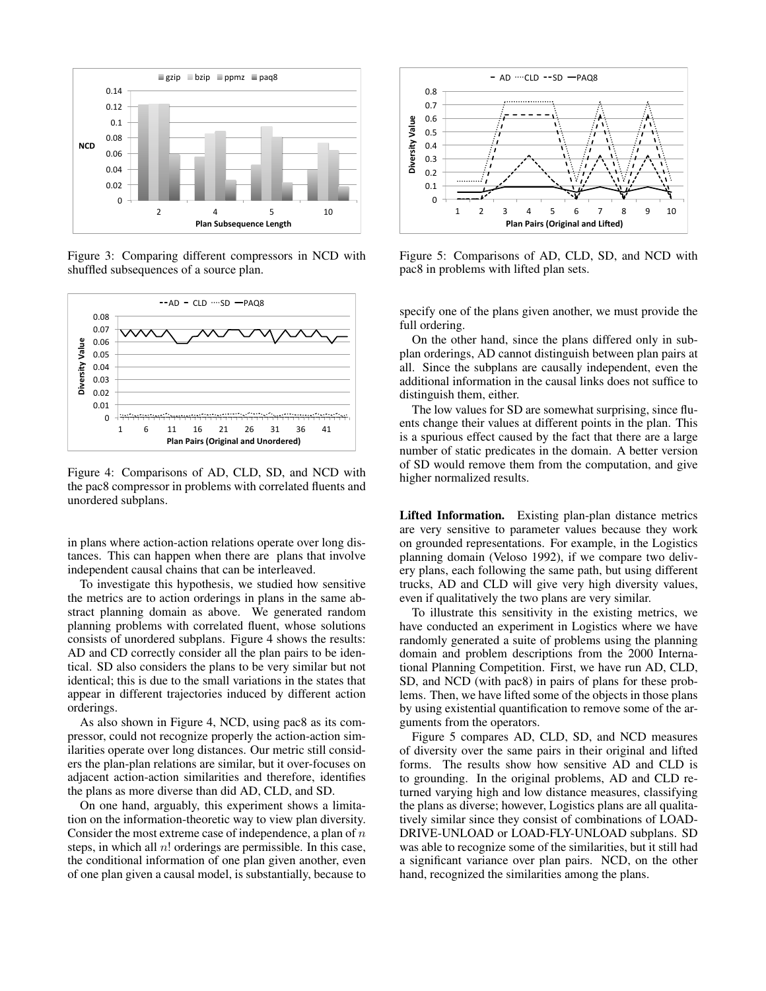

Figure 3: Comparing different compressors in NCD with shuffled subsequences of a source plan.



Figure 4: Comparisons of AD, CLD, SD, and NCD with the pac8 compressor in problems with correlated fluents and unordered subplans.

in plans where action-action relations operate over long distances. This can happen when there are plans that involve independent causal chains that can be interleaved.

To investigate this hypothesis, we studied how sensitive the metrics are to action orderings in plans in the same abstract planning domain as above. We generated random planning problems with correlated fluent, whose solutions consists of unordered subplans. Figure 4 shows the results: AD and CD correctly consider all the plan pairs to be identical. SD also considers the plans to be very similar but not identical; this is due to the small variations in the states that appear in different trajectories induced by different action orderings.

As also shown in Figure 4, NCD, using pac8 as its compressor, could not recognize properly the action-action similarities operate over long distances. Our metric still considers the plan-plan relations are similar, but it over-focuses on adjacent action-action similarities and therefore, identifies the plans as more diverse than did AD, CLD, and SD.

On one hand, arguably, this experiment shows a limitation on the information-theoretic way to view plan diversity. Consider the most extreme case of independence, a plan of *n* steps, in which all *n*! orderings are permissible. In this case, the conditional information of one plan given another, even of one plan given a causal model, is substantially, because to



Figure 5: Comparisons of AD, CLD, SD, and NCD with pac8 in problems with lifted plan sets.

specify one of the plans given another, we must provide the full ordering.

On the other hand, since the plans differed only in subplan orderings, AD cannot distinguish between plan pairs at all. Since the subplans are causally independent, even the additional information in the causal links does not suffice to distinguish them, either.

The low values for SD are somewhat surprising, since fluents change their values at different points in the plan. This is a spurious effect caused by the fact that there are a large number of static predicates in the domain. A better version of SD would remove them from the computation, and give higher normalized results.

Lifted Information. Existing plan-plan distance metrics are very sensitive to parameter values because they work on grounded representations. For example, in the Logistics planning domain (Veloso 1992), if we compare two delivery plans, each following the same path, but using different trucks, AD and CLD will give very high diversity values, even if qualitatively the two plans are very similar.

To illustrate this sensitivity in the existing metrics, we have conducted an experiment in Logistics where we have randomly generated a suite of problems using the planning domain and problem descriptions from the 2000 International Planning Competition. First, we have run AD, CLD, SD, and NCD (with pac8) in pairs of plans for these problems. Then, we have lifted some of the objects in those plans by using existential quantification to remove some of the arguments from the operators.

Figure 5 compares AD, CLD, SD, and NCD measures of diversity over the same pairs in their original and lifted forms. The results show how sensitive AD and CLD is to grounding. In the original problems, AD and CLD returned varying high and low distance measures, classifying the plans as diverse; however, Logistics plans are all qualitatively similar since they consist of combinations of LOAD-DRIVE-UNLOAD or LOAD-FLY-UNLOAD subplans. SD was able to recognize some of the similarities, but it still had a significant variance over plan pairs. NCD, on the other hand, recognized the similarities among the plans.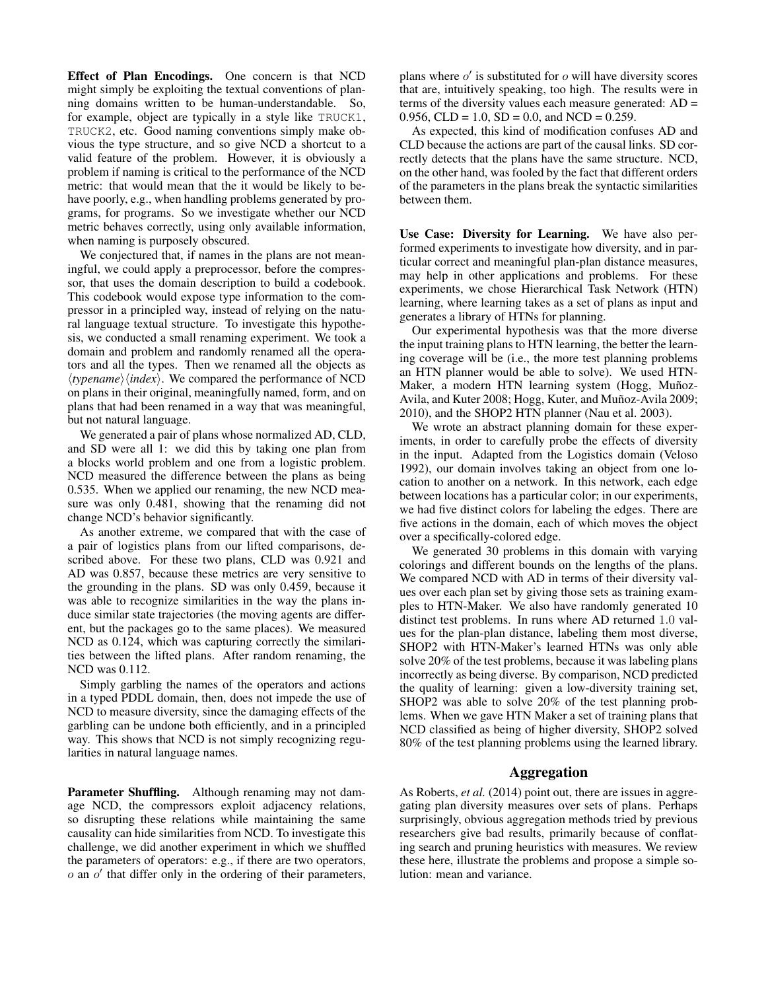Effect of Plan Encodings. One concern is that NCD might simply be exploiting the textual conventions of planning domains written to be human-understandable. So, for example, object are typically in a style like TRUCK1, TRUCK2, etc. Good naming conventions simply make obvious the type structure, and so give NCD a shortcut to a valid feature of the problem. However, it is obviously a problem if naming is critical to the performance of the NCD metric: that would mean that the it would be likely to behave poorly, e.g., when handling problems generated by programs, for programs. So we investigate whether our NCD metric behaves correctly, using only available information, when naming is purposely obscured.

We conjectured that, if names in the plans are not meaningful, we could apply a preprocessor, before the compressor, that uses the domain description to build a codebook. This codebook would expose type information to the compressor in a principled way, instead of relying on the natural language textual structure. To investigate this hypothesis, we conducted a small renaming experiment. We took a domain and problem and randomly renamed all the operators and all the types. Then we renamed all the objects as  $\langle typename \rangle$ *{index}*. We compared the performance of NCD on plans in their original, meaningfully named, form, and on plans that had been renamed in a way that was meaningful, but not natural language.

We generated a pair of plans whose normalized AD, CLD, and SD were all 1: we did this by taking one plan from a blocks world problem and one from a logistic problem. NCD measured the difference between the plans as being 0.535. When we applied our renaming, the new NCD measure was only 0.481, showing that the renaming did not change NCD's behavior significantly.

As another extreme, we compared that with the case of a pair of logistics plans from our lifted comparisons, described above. For these two plans, CLD was 0.921 and AD was 0.857, because these metrics are very sensitive to the grounding in the plans. SD was only 0.459, because it was able to recognize similarities in the way the plans induce similar state trajectories (the moving agents are different, but the packages go to the same places). We measured NCD as 0.124, which was capturing correctly the similarities between the lifted plans. After random renaming, the NCD was 0.112.

Simply garbling the names of the operators and actions in a typed PDDL domain, then, does not impede the use of NCD to measure diversity, since the damaging effects of the garbling can be undone both efficiently, and in a principled way. This shows that NCD is not simply recognizing regularities in natural language names.

Parameter Shuffling. Although renaming may not damage NCD, the compressors exploit adjacency relations, so disrupting these relations while maintaining the same causality can hide similarities from NCD. To investigate this challenge, we did another experiment in which we shuffled the parameters of operators: e.g., if there are two operators,  $o$  an  $o'$  that differ only in the ordering of their parameters, plans where  $o'$  is substituted for  $o$  will have diversity scores that are, intuitively speaking, too high. The results were in terms of the diversity values each measure generated: AD = 0.956, CLD = 1.0, SD = 0.0, and NCD = 0.259.

As expected, this kind of modification confuses AD and CLD because the actions are part of the causal links. SD correctly detects that the plans have the same structure. NCD, on the other hand, was fooled by the fact that different orders of the parameters in the plans break the syntactic similarities between them.

Use Case: Diversity for Learning. We have also performed experiments to investigate how diversity, and in particular correct and meaningful plan-plan distance measures, may help in other applications and problems. For these experiments, we chose Hierarchical Task Network (HTN) learning, where learning takes as a set of plans as input and generates a library of HTNs for planning.

Our experimental hypothesis was that the more diverse the input training plans to HTN learning, the better the learning coverage will be (i.e., the more test planning problems an HTN planner would be able to solve). We used HTN-Maker, a modern HTN learning system (Hogg, Muñoz-Avila, and Kuter 2008; Hogg, Kuter, and Muñoz-Avila 2009; 2010), and the SHOP2 HTN planner (Nau et al. 2003).

We wrote an abstract planning domain for these experiments, in order to carefully probe the effects of diversity in the input. Adapted from the Logistics domain (Veloso 1992), our domain involves taking an object from one location to another on a network. In this network, each edge between locations has a particular color; in our experiments, we had five distinct colors for labeling the edges. There are five actions in the domain, each of which moves the object over a specifically-colored edge.

We generated 30 problems in this domain with varying colorings and different bounds on the lengths of the plans. We compared NCD with AD in terms of their diversity values over each plan set by giving those sets as training examples to HTN-Maker. We also have randomly generated 10 distinct test problems. In runs where AD returned 1*.*0 values for the plan-plan distance, labeling them most diverse, SHOP2 with HTN-Maker's learned HTNs was only able solve 20% of the test problems, because it was labeling plans incorrectly as being diverse. By comparison, NCD predicted the quality of learning: given a low-diversity training set, SHOP2 was able to solve 20% of the test planning problems. When we gave HTN Maker a set of training plans that NCD classified as being of higher diversity, SHOP2 solved 80% of the test planning problems using the learned library.

# Aggregation

As Roberts, *et al.* (2014) point out, there are issues in aggregating plan diversity measures over sets of plans. Perhaps surprisingly, obvious aggregation methods tried by previous researchers give bad results, primarily because of conflating search and pruning heuristics with measures. We review these here, illustrate the problems and propose a simple solution: mean and variance.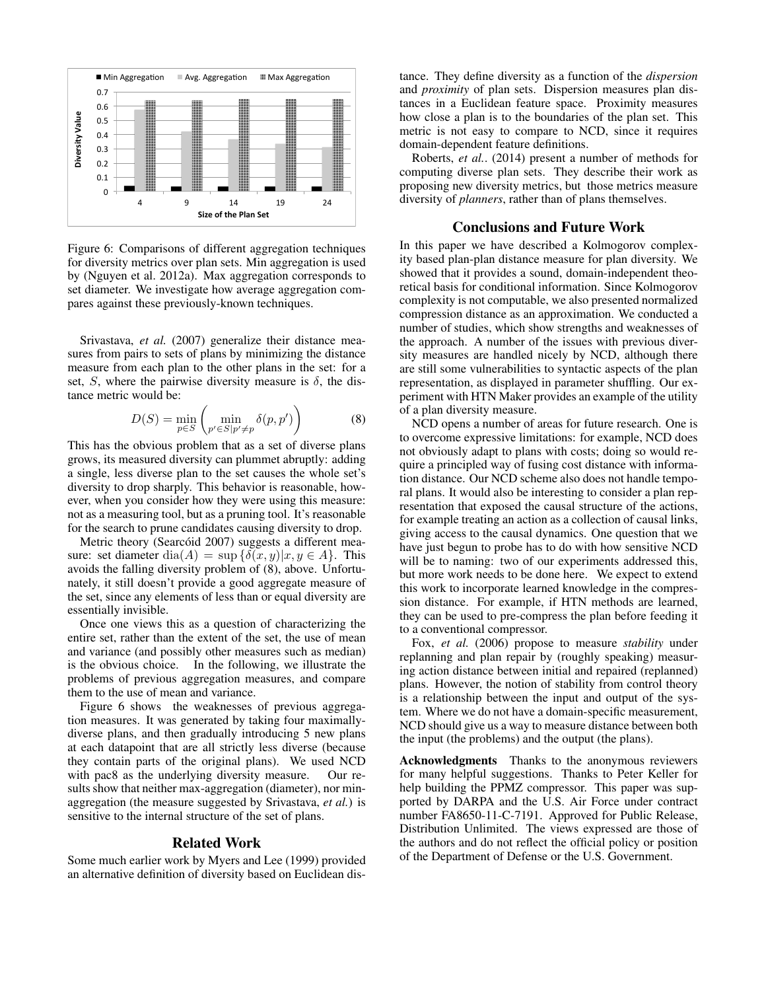

Figure 6: Comparisons of different aggregation techniques for diversity metrics over plan sets. Min aggregation is used by (Nguyen et al. 2012a). Max aggregation corresponds to set diameter. We investigate how average aggregation compares against these previously-known techniques.

Srivastava, *et al.* (2007) generalize their distance measures from pairs to sets of plans by minimizing the distance measure from each plan to the other plans in the set: for a set, *S*, where the pairwise diversity measure is  $\delta$ , the distance metric would be:

$$
D(S) = \min_{p \in S} \left( \min_{p' \in S \mid p' \neq p} \delta(p, p') \right)
$$
 (8)

This has the obvious problem that as a set of diverse plans grows, its measured diversity can plummet abruptly: adding a single, less diverse plan to the set causes the whole set's diversity to drop sharply. This behavior is reasonable, however, when you consider how they were using this measure: not as a measuring tool, but as a pruning tool. It's reasonable for the search to prune candidates causing diversity to drop.

Metric theory (Searcóid 2007) suggests a different measure: set diameter dia(A) =  $\sup \{\delta(x, y) | x, y \in A\}$ . This avoids the falling diversity problem of (8), above. Unfortunately, it still doesn't provide a good aggregate measure of the set, since any elements of less than or equal diversity are essentially invisible.

Once one views this as a question of characterizing the entire set, rather than the extent of the set, the use of mean and variance (and possibly other measures such as median) is the obvious choice. In the following, we illustrate the problems of previous aggregation measures, and compare them to the use of mean and variance.

Figure 6 shows the weaknesses of previous aggregation measures. It was generated by taking four maximallydiverse plans, and then gradually introducing 5 new plans at each datapoint that are all strictly less diverse (because they contain parts of the original plans). We used NCD with pac8 as the underlying diversity measure. Our results show that neither max-aggregation (diameter), nor minaggregation (the measure suggested by Srivastava, *et al.*) is sensitive to the internal structure of the set of plans.

#### Related Work

Some much earlier work by Myers and Lee (1999) provided an alternative definition of diversity based on Euclidean distance. They define diversity as a function of the *dispersion* and *proximity* of plan sets. Dispersion measures plan distances in a Euclidean feature space. Proximity measures how close a plan is to the boundaries of the plan set. This metric is not easy to compare to NCD, since it requires domain-dependent feature definitions.

Roberts, *et al.*. (2014) present a number of methods for computing diverse plan sets. They describe their work as proposing new diversity metrics, but those metrics measure diversity of *planners*, rather than of plans themselves.

## Conclusions and Future Work

In this paper we have described a Kolmogorov complexity based plan-plan distance measure for plan diversity. We showed that it provides a sound, domain-independent theoretical basis for conditional information. Since Kolmogorov complexity is not computable, we also presented normalized compression distance as an approximation. We conducted a number of studies, which show strengths and weaknesses of the approach. A number of the issues with previous diversity measures are handled nicely by NCD, although there are still some vulnerabilities to syntactic aspects of the plan representation, as displayed in parameter shuffling. Our experiment with HTN Maker provides an example of the utility of a plan diversity measure.

NCD opens a number of areas for future research. One is to overcome expressive limitations: for example, NCD does not obviously adapt to plans with costs; doing so would require a principled way of fusing cost distance with information distance. Our NCD scheme also does not handle temporal plans. It would also be interesting to consider a plan representation that exposed the causal structure of the actions, for example treating an action as a collection of causal links, giving access to the causal dynamics. One question that we have just begun to probe has to do with how sensitive NCD will be to naming: two of our experiments addressed this, but more work needs to be done here. We expect to extend this work to incorporate learned knowledge in the compression distance. For example, if HTN methods are learned, they can be used to pre-compress the plan before feeding it to a conventional compressor.

Fox, *et al.* (2006) propose to measure *stability* under replanning and plan repair by (roughly speaking) measuring action distance between initial and repaired (replanned) plans. However, the notion of stability from control theory is a relationship between the input and output of the system. Where we do not have a domain-specific measurement, NCD should give us a way to measure distance between both the input (the problems) and the output (the plans).

Acknowledgments Thanks to the anonymous reviewers for many helpful suggestions. Thanks to Peter Keller for help building the PPMZ compressor. This paper was supported by DARPA and the U.S. Air Force under contract number FA8650-11-C-7191. Approved for Public Release, Distribution Unlimited. The views expressed are those of the authors and do not reflect the official policy or position of the Department of Defense or the U.S. Government.